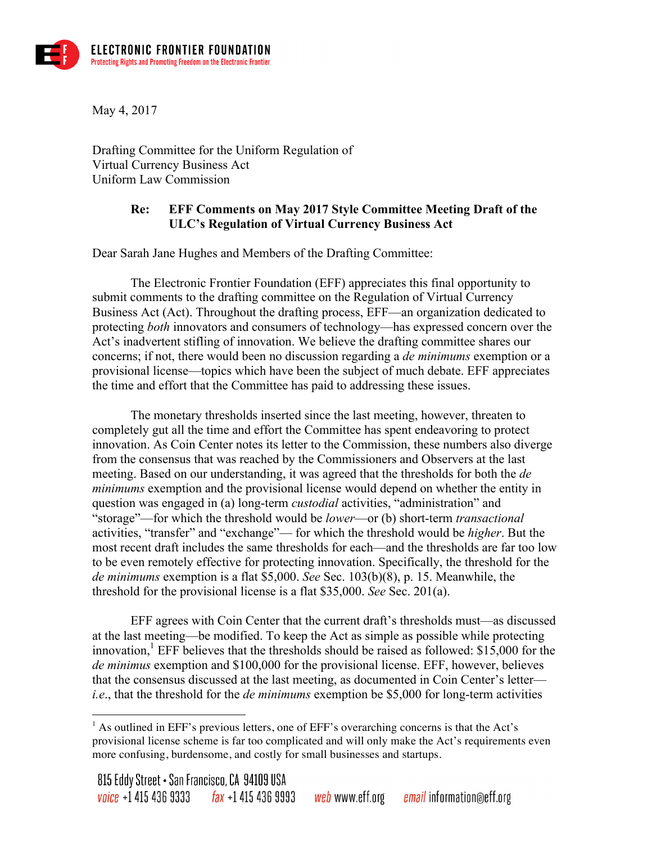

May 4, 2017

 $\overline{a}$ 

Drafting Committee for the Uniform Regulation of Virtual Currency Business Act Uniform Law Commission

## **Re: EFF Comments on May 2017 Style Committee Meeting Draft of the ULC's Regulation of Virtual Currency Business Act**

Dear Sarah Jane Hughes and Members of the Drafting Committee:

The Electronic Frontier Foundation (EFF) appreciates this final opportunity to submit comments to the drafting committee on the Regulation of Virtual Currency Business Act (Act). Throughout the drafting process, EFF—an organization dedicated to protecting *both* innovators and consumers of technology—has expressed concern over the Act's inadvertent stifling of innovation. We believe the drafting committee shares our concerns; if not, there would been no discussion regarding a *de minimums* exemption or a provisional license—topics which have been the subject of much debate. EFF appreciates the time and effort that the Committee has paid to addressing these issues.

The monetary thresholds inserted since the last meeting, however, threaten to completely gut all the time and effort the Committee has spent endeavoring to protect innovation. As Coin Center notes its letter to the Commission, these numbers also diverge from the consensus that was reached by the Commissioners and Observers at the last meeting. Based on our understanding, it was agreed that the thresholds for both the *de minimums* exemption and the provisional license would depend on whether the entity in question was engaged in (a) long-term *custodial* activities, "administration" and "storage"—for which the threshold would be *lower*—or (b) short-term *transactional* activities, "transfer" and "exchange"— for which the threshold would be *higher*. But the most recent draft includes the same thresholds for each—and the thresholds are far too low to be even remotely effective for protecting innovation. Specifically, the threshold for the *de minimums* exemption is a flat \$5,000. *See* Sec. 103(b)(8), p. 15. Meanwhile, the threshold for the provisional license is a flat \$35,000. *See* Sec. 201(a).

EFF agrees with Coin Center that the current draft's thresholds must—as discussed at the last meeting—be modified. To keep the Act as simple as possible while protecting innovation, $^{1}$  EFF believes that the thresholds should be raised as followed: \$15,000 for the *de minimus* exemption and \$100,000 for the provisional license. EFF, however, believes that the consensus discussed at the last meeting, as documented in Coin Center's letter *i.e*., that the threshold for the *de minimums* exemption be \$5,000 for long-term activities

<sup>&</sup>lt;sup>1</sup> As outlined in EFF's previous letters, one of EFF's overarching concerns is that the Act's provisional license scheme is far too complicated and will only make the Act's requirements even more confusing, burdensome, and costly for small businesses and startups.